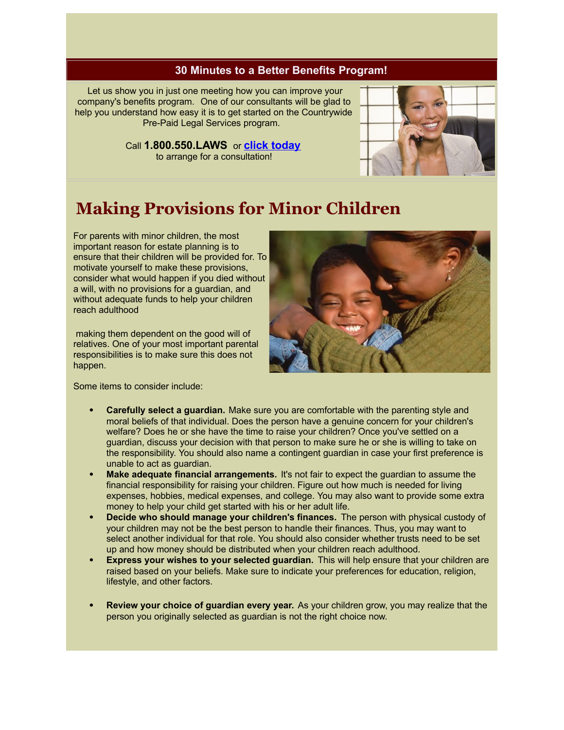## **30 Minutes to a Better Benefits Program!**

Let us show you in just one meeting how you can improve your company's benefits program. One of our consultants will be glad to help you understand how easy it is to get started on the Countrywide Pre-Paid Legal Services program.

> Call **1.800.550.LAWS** or **click [today](http://r20.rs6.net/tn.jsp?t=cobe9ldab.0.0.wqut8kcab.0&ts=S0463&p=http%3A%2F%2Fwww.countrywideppls.com%2Fcontact.php&id=preview)** to arrange for a consultation!



## **Making Provisions for Minor Children**

For parents with minor children, the most important reason for estate planning is to ensure that their children will be provided for. To motivate yourself to make these provisions, consider what would happen if you died without a will, with no provisions for a guardian, and without adequate funds to help your children reach adulthood

making them dependent on the good will of relatives. One of your most important parental responsibilities is to make sure this does not happen.

Some items to consider include:



- **Carefully select a guardian.** Make sure you are comfortable with the parenting style and moral beliefs of that individual. Does the person have a genuine concern for your children's welfare? Does he or she have the time to raise your children? Once you've settled on a guardian, discuss your decision with that person to make sure he or she is willing to take on the responsibility. You should also name a contingent guardian in case your first preference is unable to act as guardian.
- **Make adequate financial arrangements.** It's not fair to expect the guardian to assume the financial responsibility for raising your children. Figure out how much is needed for living expenses, hobbies, medical expenses, and college. You may also want to provide some extra money to help your child get started with his or her adult life.
- **Decide who should manage your children's finances.** The person with physical custody of your children may not be the best person to handle their finances. Thus, you may want to select another individual for that role. You should also consider whether trusts need to be set up and how money should be distributed when your children reach adulthood.
- **Express your wishes to your selected guardian.** This will help ensure that your children are raised based on your beliefs. Make sure to indicate your preferences for education, religion, lifestyle, and other factors.
- **Review your choice of guardian every year.** As your children grow, you may realize that the person you originally selected as guardian is not the right choice now.